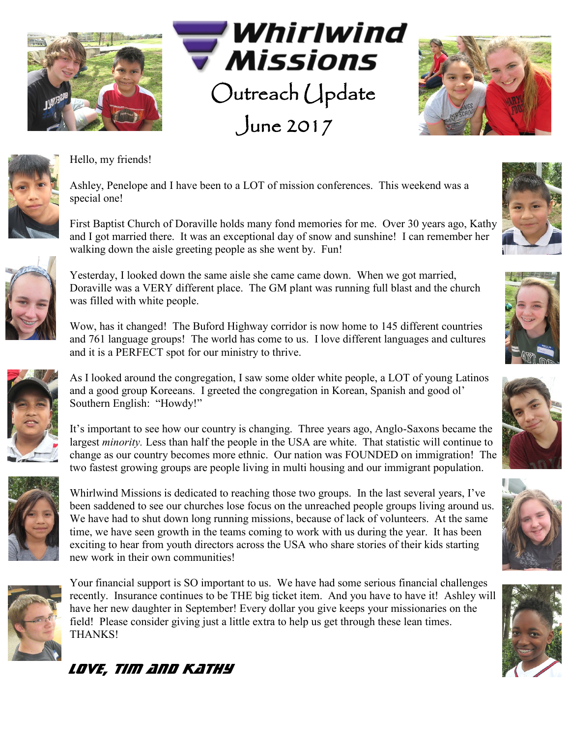







Hello, my friends!

Ashley, Penelope and I have been to a LOT of mission conferences. This weekend was a special one!

First Baptist Church of Doraville holds many fond memories for me. Over 30 years ago, Kathy and I got married there. It was an exceptional day of snow and sunshine! I can remember her walking down the aisle greeting people as she went by. Fun!



Yesterday, I looked down the same aisle she came came down. When we got married, Doraville was a VERY different place. The GM plant was running full blast and the church was filled with white people.

Wow, has it changed! The Buford Highway corridor is now home to 145 different countries and 761 language groups! The world has come to us. I love different languages and cultures and it is a PERFECT spot for our ministry to thrive.

As I looked around the congregation, I saw some older white people, a LOT of young Latinos and a good group Koreeans. I greeted the congregation in Korean, Spanish and good ol' Southern English: "Howdy!"

It's important to see how our country is changing. Three years ago, Anglo-Saxons became the largest *minority.* Less than half the people in the USA are white. That statistic will continue to change as our country becomes more ethnic. Our nation was FOUNDED on immigration! The two fastest growing groups are people living in multi housing and our immigrant population.



Whirlwind Missions is dedicated to reaching those two groups. In the last several years, I've been saddened to see our churches lose focus on the unreached people groups living around us. We have had to shut down long running missions, because of lack of volunteers. At the same time, we have seen growth in the teams coming to work with us during the year. It has been exciting to hear from youth directors across the USA who share stories of their kids starting new work in their own communities!



Your financial support is SO important to us. We have had some serious financial challenges recently. Insurance continues to be THE big ticket item. And you have to have it! Ashley will have her new daughter in September! Every dollar you give keeps your missionaries on the field! Please consider giving just a little extra to help us get through these lean times. THANKS!